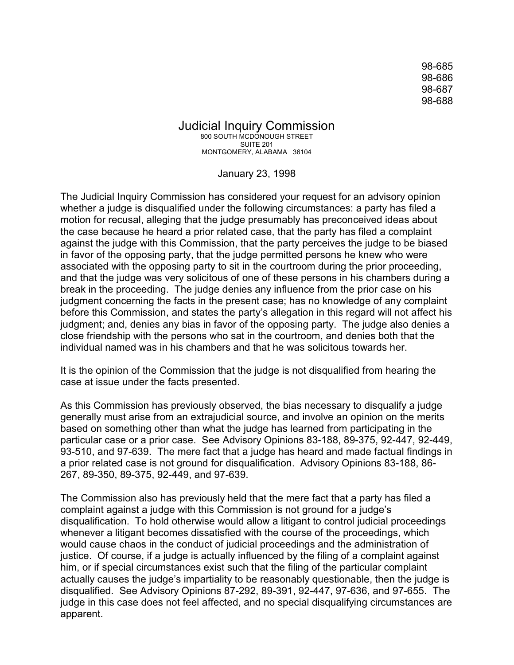98-685 98-686 98-687 98-688

Judicial Inquiry Commission 800 SOUTH MCDONOUGH STREET SUITE 201 MONTGOMERY, ALABAMA 36104

January 23, 1998

The Judicial Inquiry Commission has considered your request for an advisory opinion whether a judge is disqualified under the following circumstances: a party has filed a motion for recusal, alleging that the judge presumably has preconceived ideas about the case because he heard a prior related case, that the party has filed a complaint against the judge with this Commission, that the party perceives the judge to be biased in favor of the opposing party, that the judge permitted persons he knew who were associated with the opposing party to sit in the courtroom during the prior proceeding, and that the judge was very solicitous of one of these persons in his chambers during a break in the proceeding. The judge denies any influence from the prior case on his judgment concerning the facts in the present case; has no knowledge of any complaint before this Commission, and states the party's allegation in this regard will not affect his judgment; and, denies any bias in favor of the opposing party. The judge also denies a close friendship with the persons who sat in the courtroom, and denies both that the individual named was in his chambers and that he was solicitous towards her.

It is the opinion of the Commission that the judge is not disqualified from hearing the case at issue under the facts presented.

As this Commission has previously observed, the bias necessary to disqualify a judge generally must arise from an extrajudicial source, and involve an opinion on the merits based on something other than what the judge has learned from participating in the particular case or a prior case. See Advisory Opinions 83-188, 89-375, 92-447, 92-449, 93-510, and 97-639. The mere fact that a judge has heard and made factual findings in a prior related case is not ground for disqualification. Advisory Opinions 83-188, 86- 267, 89-350, 89-375, 92-449, and 97-639.

The Commission also has previously held that the mere fact that a party has filed a complaint against a judge with this Commission is not ground for a judge's disqualification. To hold otherwise would allow a litigant to control judicial proceedings whenever a litigant becomes dissatisfied with the course of the proceedings, which would cause chaos in the conduct of judicial proceedings and the administration of justice. Of course, if a judge is actually influenced by the filing of a complaint against him, or if special circumstances exist such that the filing of the particular complaint actually causes the judge's impartiality to be reasonably questionable, then the judge is disqualified. See Advisory Opinions 87-292, 89-391, 92-447, 97-636, and 97-655. The judge in this case does not feel affected, and no special disqualifying circumstances are apparent.